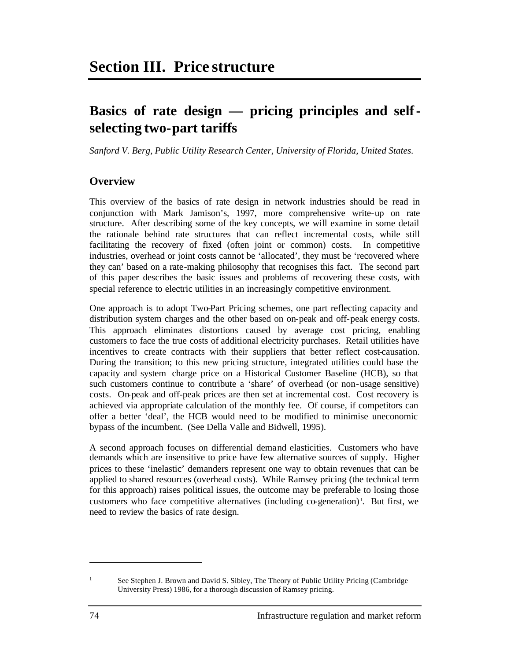# **Basics of rate design — pricing principles and selfselecting two-part tariffs**

*Sanford V. Berg, Public Utility Research Center, University of Florida, United States.*

# **Overview**

This overview of the basics of rate design in network industries should be read in conjunction with Mark Jamison's, 1997, more comprehensive write-up on rate structure. After describing some of the key concepts, we will examine in some detail the rationale behind rate structures that can reflect incremental costs, while still facilitating the recovery of fixed (often joint or common) costs. In competitive industries, overhead or joint costs cannot be 'allocated', they must be 'recovered where they can' based on a rate-making philosophy that recognises this fact. The second part of this paper describes the basic issues and problems of recovering these costs, with special reference to electric utilities in an increasingly competitive environment.

One approach is to adopt Two-Part Pricing schemes, one part reflecting capacity and distribution system charges and the other based on on-peak and off-peak energy costs. This approach eliminates distortions caused by average cost pricing, enabling customers to face the true costs of additional electricity purchases. Retail utilities have incentives to create contracts with their suppliers that better reflect cost-causation. During the transition; to this new pricing structure, integrated utilities could base the capacity and system charge price on a Historical Customer Baseline (HCB), so that such customers continue to contribute a 'share' of overhead (or non-usage sensitive) costs. On-peak and off-peak prices are then set at incremental cost. Cost recovery is achieved via appropriate calculation of the monthly fee. Of course, if competitors can offer a better 'deal', the HCB would need to be modified to minimise uneconomic bypass of the incumbent. (See Della Valle and Bidwell, 1995).

A second approach focuses on differential demand elasticities. Customers who have demands which are insensitive to price have few alternative sources of supply. Higher prices to these 'inelastic' demanders represent one way to obtain revenues that can be applied to shared resources (overhead costs). While Ramsey pricing (the technical term for this approach) raises political issues, the outcome may be preferable to losing those customers who face competitive alternatives (including co-generation)<sup>1</sup>. But first, we need to review the basics of rate design.

 $\overline{a}$ 

<sup>&</sup>lt;sup>1</sup> See Stephen J. Brown and David S. Sibley, The Theory of Public Utility Pricing (Cambridge) University Press) 1986, for a thorough discussion of Ramsey pricing.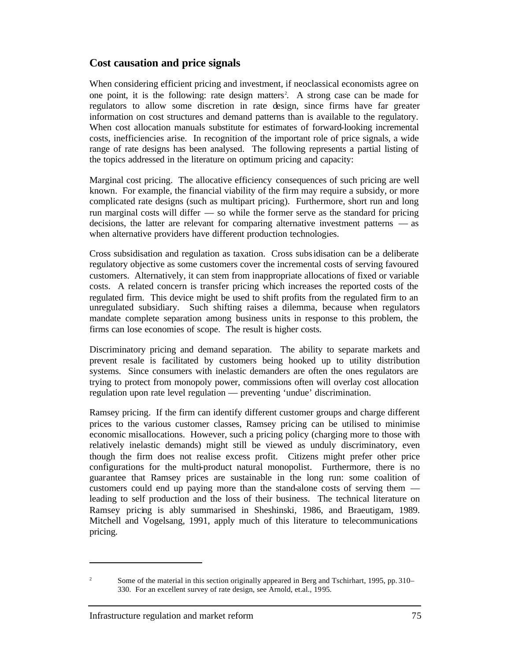# **Cost causation and price signals**

When considering efficient pricing and investment, if neoclassical economists agree on one point, it is the following: rate design matters<sup>2</sup>. A strong case can be made for regulators to allow some discretion in rate design, since firms have far greater information on cost structures and demand patterns than is available to the regulatory. When cost allocation manuals substitute for estimates of forward-looking incremental costs, inefficiencies arise. In recognition of the important role of price signals, a wide range of rate designs has been analysed. The following represents a partial listing of the topics addressed in the literature on optimum pricing and capacity:

Marginal cost pricing. The allocative efficiency consequences of such pricing are well known. For example, the financial viability of the firm may require a subsidy, or more complicated rate designs (such as multipart pricing). Furthermore, short run and long run marginal costs will differ — so while the former serve as the standard for pricing decisions, the latter are relevant for comparing alternative investment patterns — as when alternative providers have different production technologies.

Cross subsidisation and regulation as taxation. Cross subsidisation can be a deliberate regulatory objective as some customers cover the incremental costs of serving favoured customers. Alternatively, it can stem from inappropriate allocations of fixed or variable costs. A related concern is transfer pricing which increases the reported costs of the regulated firm. This device might be used to shift profits from the regulated firm to an unregulated subsidiary. Such shifting raises a dilemma, because when regulators mandate complete separation among business units in response to this problem, the firms can lose economies of scope. The result is higher costs.

Discriminatory pricing and demand separation. The ability to separate markets and prevent resale is facilitated by customers being hooked up to utility distribution systems. Since consumers with inelastic demanders are often the ones regulators are trying to protect from monopoly power, commissions often will overlay cost allocation regulation upon rate level regulation — preventing 'undue' discrimination.

Ramsey pricing. If the firm can identify different customer groups and charge different prices to the various customer classes, Ramsey pricing can be utilised to minimise economic misallocations. However, such a pricing policy (charging more to those with relatively inelastic demands) might still be viewed as unduly discriminatory, even though the firm does not realise excess profit. Citizens might prefer other price configurations for the multi-product natural monopolist. Furthermore, there is no guarantee that Ramsey prices are sustainable in the long run: some coalition of customers could end up paying more than the stand-alone costs of serving them leading to self production and the loss of their business. The technical literature on Ramsey pricing is ably summarised in Sheshinski, 1986, and Braeutigam, 1989. Mitchell and Vogelsang, 1991, apply much of this literature to telecommunications pricing.

 $\overline{a}$ 

<sup>&</sup>lt;sup>2</sup> Some of the material in this section originally appeared in Berg and Tschirhart, 1995, pp. 310– 330. For an excellent survey of rate design, see Arnold, et.al., 1995.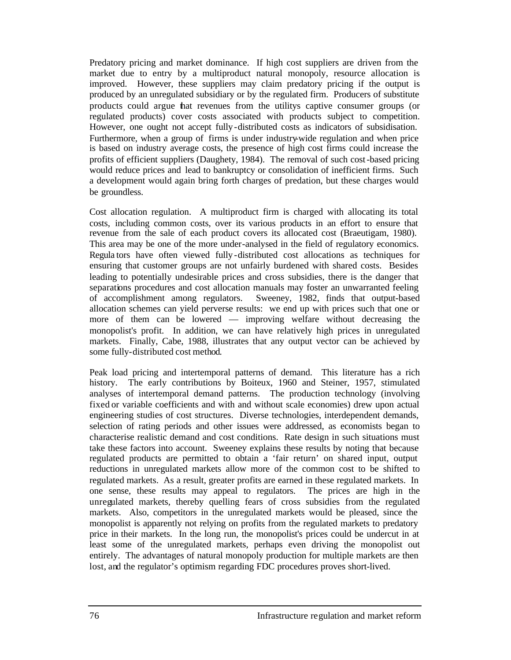Predatory pricing and market dominance. If high cost suppliers are driven from the market due to entry by a multiproduct natural monopoly, resource allocation is improved. However, these suppliers may claim predatory pricing if the output is produced by an unregulated subsidiary or by the regulated firm. Producers of substitute products could argue that revenues from the utilitys captive consumer groups (or regulated products) cover costs associated with products subject to competition. However, one ought not accept fully-distributed costs as indicators of subsidisation. Furthermore, when a group of firms is under industry-wide regulation and when price is based on industry average costs, the presence of high cost firms could increase the profits of efficient suppliers (Daughety, 1984). The removal of such cost-based pricing would reduce prices and lead to bankruptcy or consolidation of inefficient firms. Such a development would again bring forth charges of predation, but these charges would be groundless.

Cost allocation regulation. A multiproduct firm is charged with allocating its total costs, including common costs, over its various products in an effort to ensure that revenue from the sale of each product covers its allocated cost (Braeutigam, 1980). This area may be one of the more under-analysed in the field of regulatory economics. Regula tors have often viewed fully-distributed cost allocations as techniques for ensuring that customer groups are not unfairly burdened with shared costs. Besides leading to potentially undesirable prices and cross subsidies, there is the danger that separations procedures and cost allocation manuals may foster an unwarranted feeling of accomplishment among regulators. Sweeney, 1982, finds that output-based allocation schemes can yield perverse results: we end up with prices such that one or more of them can be lowered — improving welfare without decreasing the monopolist's profit. In addition, we can have relatively high prices in unregulated markets. Finally, Cabe, 1988, illustrates that any output vector can be achieved by some fully-distributed cost method.

Peak load pricing and intertemporal patterns of demand. This literature has a rich history. The early contributions by Boiteux, 1960 and Steiner, 1957, stimulated analyses of intertemporal demand patterns. The production technology (involving fixed or variable coefficients and with and without scale economies) drew upon actual engineering studies of cost structures. Diverse technologies, interdependent demands, selection of rating periods and other issues were addressed, as economists began to characterise realistic demand and cost conditions. Rate design in such situations must take these factors into account. Sweeney explains these results by noting that because regulated products are permitted to obtain a 'fair return' on shared input, output reductions in unregulated markets allow more of the common cost to be shifted to regulated markets. As a result, greater profits are earned in these regulated markets. In one sense, these results may appeal to regulators. The prices are high in the unregulated markets, thereby quelling fears of cross subsidies from the regulated markets. Also, competitors in the unregulated markets would be pleased, since the monopolist is apparently not relying on profits from the regulated markets to predatory price in their markets. In the long run, the monopolist's prices could be undercut in at least some of the unregulated markets, perhaps even driving the monopolist out entirely. The advantages of natural monopoly production for multiple markets are then lost, and the regulator's optimism regarding FDC procedures proves short-lived.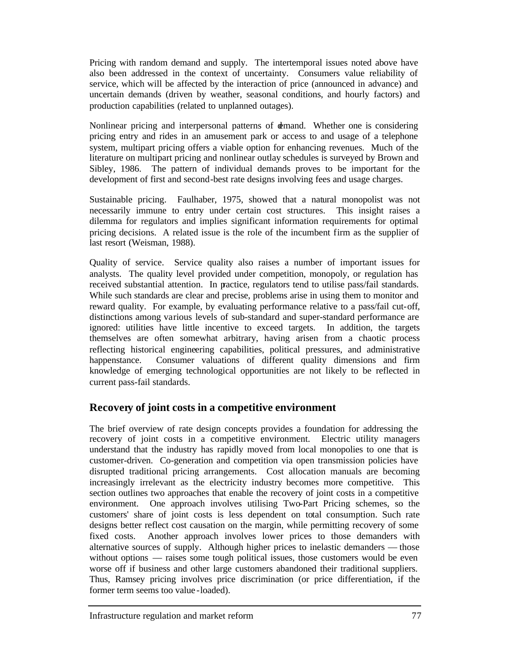Pricing with random demand and supply. The intertemporal issues noted above have also been addressed in the context of uncertainty. Consumers value reliability of service, which will be affected by the interaction of price (announced in advance) and uncertain demands (driven by weather, seasonal conditions, and hourly factors) and production capabilities (related to unplanned outages).

Nonlinear pricing and interpersonal patterns of demand. Whether one is considering pricing entry and rides in an amusement park or access to and usage of a telephone system, multipart pricing offers a viable option for enhancing revenues. Much of the literature on multipart pricing and nonlinear outlay schedules is surveyed by Brown and Sibley, 1986. The pattern of individual demands proves to be important for the development of first and second-best rate designs involving fees and usage charges.

Sustainable pricing. Faulhaber, 1975, showed that a natural monopolist was not necessarily immune to entry under certain cost structures. This insight raises a dilemma for regulators and implies significant information requirements for optimal pricing decisions. A related issue is the role of the incumbent firm as the supplier of last resort (Weisman, 1988).

Quality of service. Service quality also raises a number of important issues for analysts. The quality level provided under competition, monopoly, or regulation has received substantial attention. In practice, regulators tend to utilise pass/fail standards. While such standards are clear and precise, problems arise in using them to monitor and reward quality. For example, by evaluating performance relative to a pass/fail cut-off, distinctions among various levels of sub-standard and super-standard performance are ignored: utilities have little incentive to exceed targets. In addition, the targets themselves are often somewhat arbitrary, having arisen from a chaotic process reflecting historical engineering capabilities, political pressures, and administrative happenstance. Consumer valuations of different quality dimensions and firm knowledge of emerging technological opportunities are not likely to be reflected in current pass-fail standards.

# **Recovery of joint costs in a competitive environment**

The brief overview of rate design concepts provides a foundation for addressing the recovery of joint costs in a competitive environment. Electric utility managers understand that the industry has rapidly moved from local monopolies to one that is customer-driven. Co-generation and competition via open transmission policies have disrupted traditional pricing arrangements. Cost allocation manuals are becoming increasingly irrelevant as the electricity industry becomes more competitive. This section outlines two approaches that enable the recovery of joint costs in a competitive environment. One approach involves utilising Two-Part Pricing schemes, so the customers' share of joint costs is less dependent on total consumption. Such rate designs better reflect cost causation on the margin, while permitting recovery of some fixed costs. Another approach involves lower prices to those demanders with alternative sources of supply. Although higher prices to inelastic demanders — those without options — raises some tough political issues, those customers would be even worse off if business and other large customers abandoned their traditional suppliers. Thus, Ramsey pricing involves price discrimination (or price differentiation, if the former term seems too value -loaded).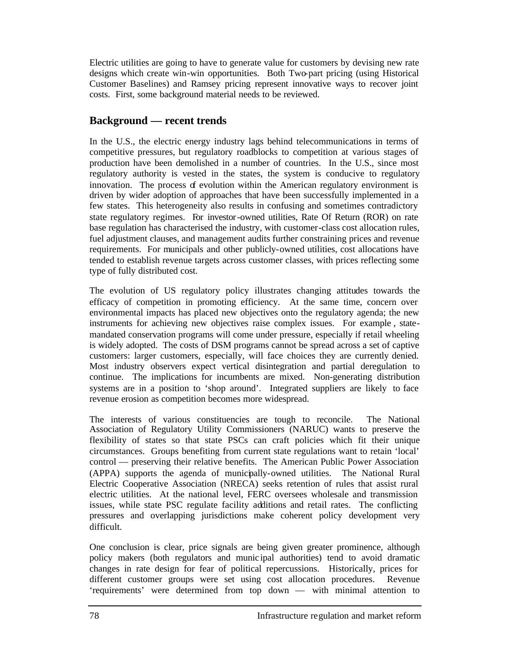Electric utilities are going to have to generate value for customers by devising new rate designs which create win-win opportunities. Both Two-part pricing (using Historical Customer Baselines) and Ramsey pricing represent innovative ways to recover joint costs. First, some background material needs to be reviewed.

# **Background — recent trends**

In the U.S., the electric energy industry lags behind telecommunications in terms of competitive pressures, but regulatory roadblocks to competition at various stages of production have been demolished in a number of countries. In the U.S., since most regulatory authority is vested in the states, the system is conducive to regulatory innovation. The process of evolution within the American regulatory environment is driven by wider adoption of approaches that have been successfully implemented in a few states. This heterogeneity also results in confusing and sometimes contradictory state regulatory regimes. For investor-owned utilities, Rate Of Return (ROR) on rate base regulation has characterised the industry, with customer-class cost allocation rules, fuel adjustment clauses, and management audits further constraining prices and revenue requirements. For municipals and other publicly-owned utilities, cost allocations have tended to establish revenue targets across customer classes, with prices reflecting some type of fully distributed cost.

The evolution of US regulatory policy illustrates changing attitudes towards the efficacy of competition in promoting efficiency. At the same time, concern over environmental impacts has placed new objectives onto the regulatory agenda; the new instruments for achieving new objectives raise complex issues. For example , statemandated conservation programs will come under pressure, especially if retail wheeling is widely adopted. The costs of DSM programs cannot be spread across a set of captive customers: larger customers, especially, will face choices they are currently denied. Most industry observers expect vertical disintegration and partial deregulation to continue. The implications for incumbents are mixed. Non-generating distribution systems are in a position to 'shop around'. Integrated suppliers are likely to face revenue erosion as competition becomes more widespread.

The interests of various constituencies are tough to reconcile. The National Association of Regulatory Utility Commissioners (NARUC) wants to preserve the flexibility of states so that state PSCs can craft policies which fit their unique circumstances. Groups benefiting from current state regulations want to retain 'local' control — preserving their relative benefits. The American Public Power Association (APPA) supports the agenda of municipally-owned utilities. The National Rural Electric Cooperative Association (NRECA) seeks retention of rules that assist rural electric utilities. At the national level, FERC oversees wholesale and transmission issues, while state PSC regulate facility additions and retail rates. The conflicting pressures and overlapping jurisdictions make coherent policy development very difficult.

One conclusion is clear, price signals are being given greater prominence, although policy makers (both regulators and munic ipal authorities) tend to avoid dramatic changes in rate design for fear of political repercussions. Historically, prices for different customer groups were set using cost allocation procedures. Revenue 'requirements' were determined from top down — with minimal attention to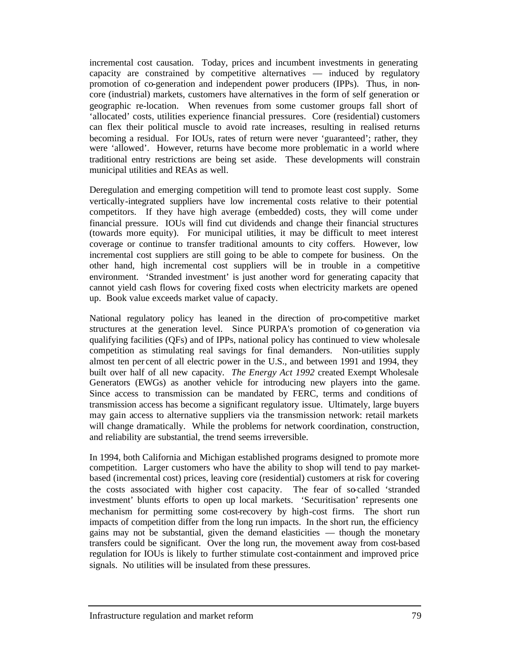incremental cost causation. Today, prices and incumbent investments in generating capacity are constrained by competitive alternatives — induced by regulatory promotion of co-generation and independent power producers (IPPs). Thus, in noncore (industrial) markets, customers have alternatives in the form of self generation or geographic re-location. When revenues from some customer groups fall short of 'allocated' costs, utilities experience financial pressures. Core (residential) customers can flex their political muscle to avoid rate increases, resulting in realised returns becoming a residual. For IOUs, rates of return were never 'guaranteed'; rather, they were 'allowed'. However, returns have become more problematic in a world where traditional entry restrictions are being set aside. These developments will constrain municipal utilities and REAs as well.

Deregulation and emerging competition will tend to promote least cost supply. Some vertically-integrated suppliers have low incremental costs relative to their potential competitors. If they have high average (embedded) costs, they will come under financial pressure. IOUs will find cut dividends and change their financial structures (towards more equity). For municipal utilities, it may be difficult to meet interest coverage or continue to transfer traditional amounts to city coffers. However, low incremental cost suppliers are still going to be able to compete for business. On the other hand, high incremental cost suppliers will be in trouble in a competitive environment. 'Stranded investment' is just another word for generating capacity that cannot yield cash flows for covering fixed costs when electricity markets are opened up. Book value exceeds market value of capacity.

National regulatory policy has leaned in the direction of pro-competitive market structures at the generation level. Since PURPA's promotion of co-generation via qualifying facilities (QFs) and of IPPs, national policy has continued to view wholesale competition as stimulating real savings for final demanders. Non-utilities supply almost ten per cent of all electric power in the U.S., and between 1991 and 1994, they built over half of all new capacity. *The Energy Act 1992* created Exempt Wholesale Generators (EWGs) as another vehicle for introducing new players into the game. Since access to transmission can be mandated by FERC, terms and conditions of transmission access has become a significant regulatory issue. Ultimately, large buyers may gain access to alternative suppliers via the transmission network: retail markets will change dramatically. While the problems for network coordination, construction, and reliability are substantial, the trend seems irreversible.

In 1994, both California and Michigan established programs designed to promote more competition. Larger customers who have the ability to shop will tend to pay marketbased (incremental cost) prices, leaving core (residential) customers at risk for covering the costs associated with higher cost capacity. The fear of so-called 'stranded investment' blunts efforts to open up local markets. 'Securitisation' represents one mechanism for permitting some cost-recovery by high-cost firms. The short run impacts of competition differ from the long run impacts. In the short run, the efficiency gains may not be substantial, given the demand elasticities — though the monetary transfers could be significant. Over the long run, the movement away from cost-based regulation for IOUs is likely to further stimulate cost-containment and improved price signals. No utilities will be insulated from these pressures.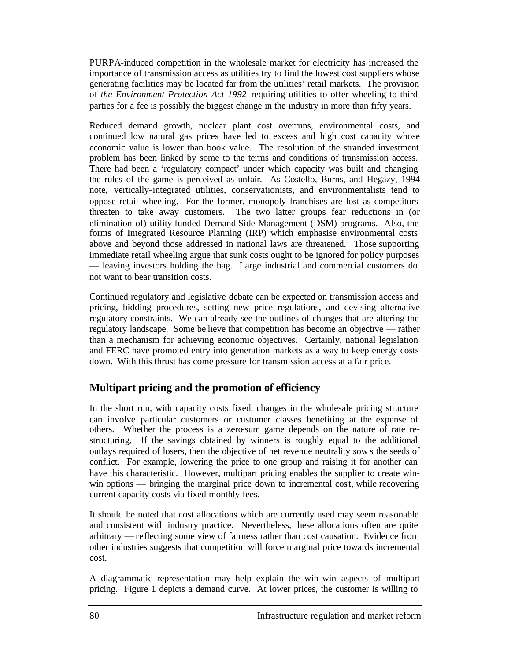PURPA-induced competition in the wholesale market for electricity has increased the importance of transmission access as utilities try to find the lowest cost suppliers whose generating facilities may be located far from the utilities' retail markets. The provision of *the Environment Protection Act 1992* requiring utilities to offer wheeling to third parties for a fee is possibly the biggest change in the industry in more than fifty years.

Reduced demand growth, nuclear plant cost overruns, environmental costs, and continued low natural gas prices have led to excess and high cost capacity whose economic value is lower than book value. The resolution of the stranded investment problem has been linked by some to the terms and conditions of transmission access. There had been a 'regulatory compact' under which capacity was built and changing the rules of the game is perceived as unfair. As Costello, Burns, and Hegazy, 1994 note, vertically-integrated utilities, conservationists, and environmentalists tend to oppose retail wheeling. For the former, monopoly franchises are lost as competitors threaten to take away customers. The two latter groups fear reductions in (or elimination of) utility-funded Demand-Side Management (DSM) programs. Also, the forms of Integrated Resource Planning (IRP) which emphasise environmental costs above and beyond those addressed in national laws are threatened. Those supporting immediate retail wheeling argue that sunk costs ought to be ignored for policy purposes — leaving investors holding the bag. Large industrial and commercial customers do not want to bear transition costs.

Continued regulatory and legislative debate can be expected on transmission access and pricing, bidding procedures, setting new price regulations, and devising alternative regulatory constraints. We can already see the outlines of changes that are altering the regulatory landscape. Some be lieve that competition has become an objective — rather than a mechanism for achieving economic objectives. Certainly, national legislation and FERC have promoted entry into generation markets as a way to keep energy costs down. With this thrust has come pressure for transmission access at a fair price.

# **Multipart pricing and the promotion of efficiency**

In the short run, with capacity costs fixed, changes in the wholesale pricing structure can involve particular customers or customer classes benefiting at the expense of others. Whether the process is a zero-sum game depends on the nature of rate restructuring. If the savings obtained by winners is roughly equal to the additional outlays required of losers, then the objective of net revenue neutrality sow s the seeds of conflict. For example, lowering the price to one group and raising it for another can have this characteristic. However, multipart pricing enables the supplier to create winwin options — bringing the marginal price down to incremental cost, while recovering current capacity costs via fixed monthly fees.

It should be noted that cost allocations which are currently used may seem reasonable and consistent with industry practice. Nevertheless, these allocations often are quite arbitrary — reflecting some view of fairness rather than cost causation. Evidence from other industries suggests that competition will force marginal price towards incremental cost.

A diagrammatic representation may help explain the win-win aspects of multipart pricing. Figure 1 depicts a demand curve. At lower prices, the customer is willing to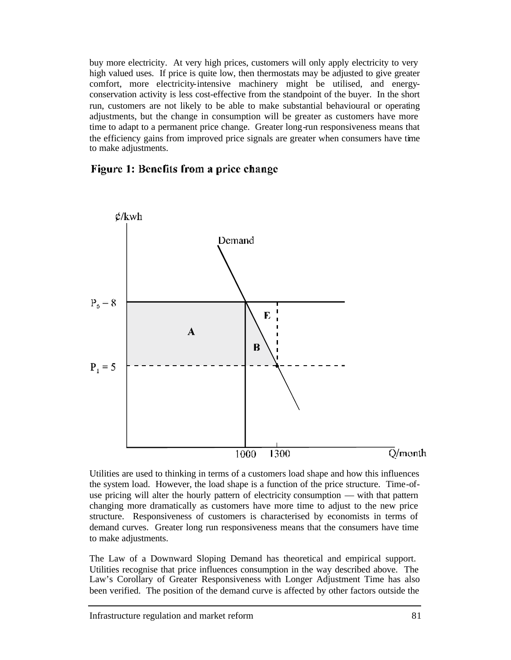buy more electricity. At very high prices, customers will only apply electricity to very high valued uses. If price is quite low, then thermostats may be adjusted to give greater comfort, more electricity-intensive machinery might be utilised, and energyconservation activity is less cost-effective from the standpoint of the buyer. In the short run, customers are not likely to be able to make substantial behavioural or operating adjustments, but the change in consumption will be greater as customers have more time to adapt to a permanent price change. Greater long-run responsiveness means that the efficiency gains from improved price signals are greater when consumers have time to make adjustments.

#### Figure 1: Benefits from a price change



Utilities are used to thinking in terms of a customers load shape and how this influences the system load. However, the load shape is a function of the price structure. Time-ofuse pricing will alter the hourly pattern of electricity consumption — with that pattern changing more dramatically as customers have more time to adjust to the new price structure. Responsiveness of customers is characterised by economists in terms of demand curves. Greater long run responsiveness means that the consumers have time to make adjustments.

The Law of a Downward Sloping Demand has theoretical and empirical support. Utilities recognise that price influences consumption in the way described above. The Law's Corollary of Greater Responsiveness with Longer Adjustment Time has also been verified. The position of the demand curve is affected by other factors outside the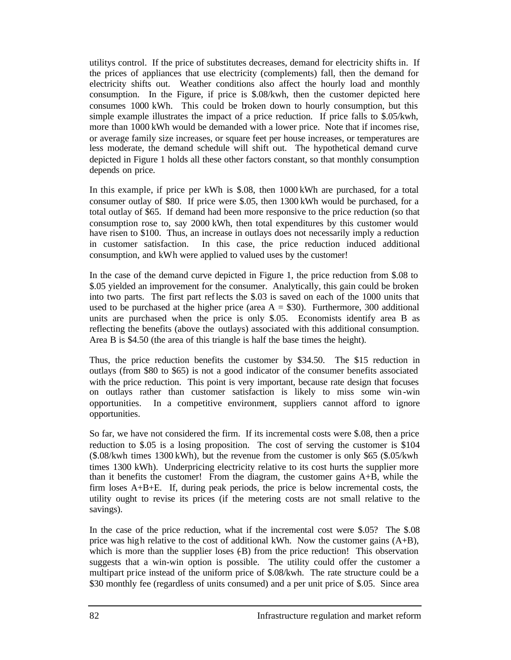utilitys control. If the price of substitutes decreases, demand for electricity shifts in. If the prices of appliances that use electricity (complements) fall, then the demand for electricity shifts out. Weather conditions also affect the hourly load and monthly consumption. In the Figure, if price is \$.08/kwh, then the customer depicted here consumes 1000 kWh. This could be broken down to hourly consumption, but this simple example illustrates the impact of a price reduction. If price falls to \$.05/kwh, more than 1000 kWh would be demanded with a lower price. Note that if incomes rise, or average family size increases, or square feet per house increases, or temperatures are less moderate, the demand schedule will shift out. The hypothetical demand curve depicted in Figure 1 holds all these other factors constant, so that monthly consumption depends on price.

In this example, if price per kWh is \$.08, then 1000 kWh are purchased, for a total consumer outlay of \$80. If price were \$.05, then 1300 kWh would be purchased, for a total outlay of \$65. If demand had been more responsive to the price reduction (so that consumption rose to, say 2000 kWh, then total expenditures by this customer would have risen to \$100. Thus, an increase in outlays does not necessarily imply a reduction in customer satisfaction. In this case, the price reduction induced additional consumption, and kWh were applied to valued uses by the customer!

In the case of the demand curve depicted in Figure 1, the price reduction from \$.08 to \$.05 yielded an improvement for the consumer. Analytically, this gain could be broken into two parts. The first part reflects the \$.03 is saved on each of the 1000 units that used to be purchased at the higher price (area  $A = $30$ ). Furthermore, 300 additional units are purchased when the price is only \$.05. Economists identify area B as reflecting the benefits (above the outlays) associated with this additional consumption. Area B is \$4.50 (the area of this triangle is half the base times the height).

Thus, the price reduction benefits the customer by \$34.50. The \$15 reduction in outlays (from \$80 to \$65) is not a good indicator of the consumer benefits associated with the price reduction. This point is very important, because rate design that focuses on outlays rather than customer satisfaction is likely to miss some win -win opportunities. In a competitive environment, suppliers cannot afford to ignore opportunities.

So far, we have not considered the firm. If its incremental costs were \$.08, then a price reduction to \$.05 is a losing proposition. The cost of serving the customer is \$104 (\$.08/kwh times 1300 kWh), but the revenue from the customer is only \$65 (\$.05/kwh times 1300 kWh). Underpricing electricity relative to its cost hurts the supplier more than it benefits the customer! From the diagram, the customer gains A+B, while the firm loses A+B+E. If, during peak periods, the price is below incremental costs, the utility ought to revise its prices (if the metering costs are not small relative to the savings).

In the case of the price reduction, what if the incremental cost were \$.05? The \$.08 price was high relative to the cost of additional kWh. Now the customer gains (A+B), which is more than the supplier loses  $(B)$  from the price reduction! This observation suggests that a win-win option is possible. The utility could offer the customer a multipart price instead of the uniform price of \$.08/kwh. The rate structure could be a \$30 monthly fee (regardless of units consumed) and a per unit price of \$.05. Since area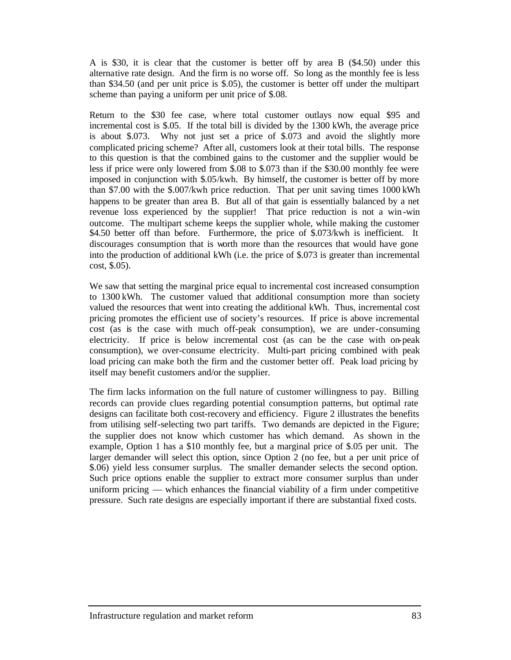A is \$30, it is clear that the customer is better off by area B (\$4.50) under this alternative rate design. And the firm is no worse off. So long as the monthly fee is less than \$34.50 (and per unit price is \$.05), the customer is better off under the multipart scheme than paying a uniform per unit price of \$.08.

Return to the \$30 fee case, where total customer outlays now equal \$95 and incremental cost is \$.05. If the total bill is divided by the 1300 kWh, the average price is about \$.073. Why not just set a price of \$.073 and avoid the slightly more complicated pricing scheme? After all, customers look at their total bills. The response to this question is that the combined gains to the customer and the supplier would be less if price were only lowered from \$.08 to \$.073 than if the \$30.00 monthly fee were imposed in conjunction with \$.05/kwh. By himself, the customer is better off by more than \$7.00 with the \$.007/kwh price reduction. That per unit saving times 1000 kWh happens to be greater than area B. But all of that gain is essentially balanced by a net revenue loss experienced by the supplier! That price reduction is not a win -win outcome. The multipart scheme keeps the supplier whole, while making the customer \$4.50 better off than before. Furthermore, the price of \$.073/kwh is inefficient. It discourages consumption that is worth more than the resources that would have gone into the production of additional kWh (i.e. the price of \$.073 is greater than incremental cost, \$.05).

We saw that setting the marginal price equal to incremental cost increased consumption to 1300 kWh. The customer valued that additional consumption more than society valued the resources that went into creating the additional kWh. Thus, incremental cost pricing promotes the efficient use of society's resources. If price is above incremental cost (as is the case with much off-peak consumption), we are under-consuming electricity. If price is below incremental cost (as can be the case with on-peak consumption), we over-consume electricity. Multi-part pricing combined with peak load pricing can make both the firm and the customer better off. Peak load pricing by itself may benefit customers and/or the supplier.

The firm lacks information on the full nature of customer willingness to pay. Billing records can provide clues regarding potential consumption patterns, but optimal rate designs can facilitate both cost-recovery and efficiency. Figure 2 illustrates the benefits from utilising self-selecting two part tariffs. Two demands are depicted in the Figure; the supplier does not know which customer has which demand. As shown in the example, Option 1 has a \$10 monthly fee, but a marginal price of \$.05 per unit. The larger demander will select this option, since Option 2 (no fee, but a per unit price of \$.06) yield less consumer surplus. The smaller demander selects the second option. Such price options enable the supplier to extract more consumer surplus than under uniform pricing — which enhances the financial viability of a firm under competitive pressure. Such rate designs are especially important if there are substantial fixed costs.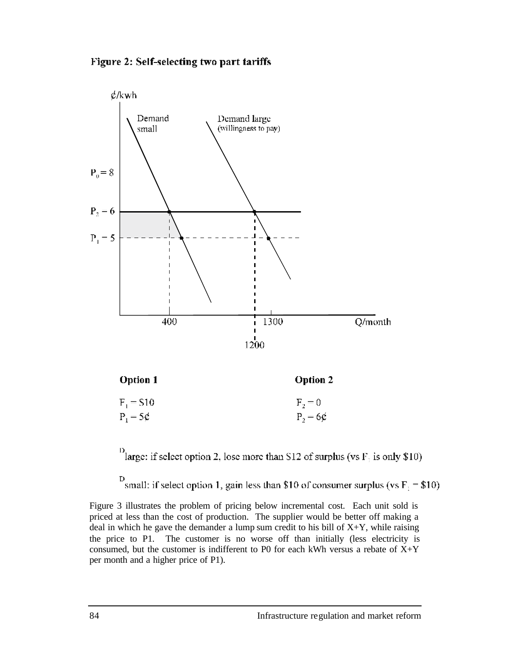





<sup>13</sup> large: if select option 2, lose more than S12 of surplus (vs F<sub>2</sub> is only \$10)

<sup>D</sup> small: if select option 1, gain less than \$10 of consumer surplus (vs F<sub>1</sub> = \$10)

Figure 3 illustrates the problem of pricing below incremental cost. Each unit sold is priced at less than the cost of production. The supplier would be better off making a deal in which he gave the demander a lump sum credit to his bill of  $X+Y$ , while raising the price to P1. The customer is no worse off than initially (less electricity is consumed, but the customer is indifferent to P0 for each kWh versus a rebate of  $X+Y$ per month and a higher price of P1).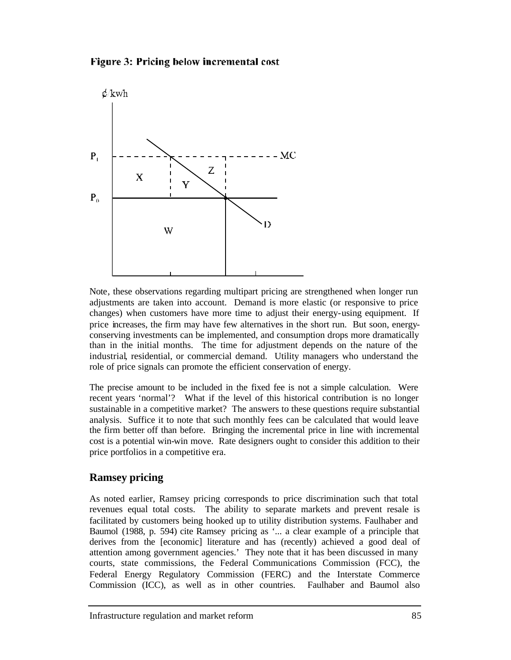



Note, these observations regarding multipart pricing are strengthened when longer run adjustments are taken into account. Demand is more elastic (or responsive to price changes) when customers have more time to adjust their energy-using equipment. If price increases, the firm may have few alternatives in the short run. But soon, energyconserving investments can be implemented, and consumption drops more dramatically than in the initial months. The time for adjustment depends on the nature of the industrial, residential, or commercial demand. Utility managers who understand the role of price signals can promote the efficient conservation of energy.

The precise amount to be included in the fixed fee is not a simple calculation. Were recent years 'normal'? What if the level of this historical contribution is no longer sustainable in a competitive market? The answers to these questions require substantial analysis. Suffice it to note that such monthly fees can be calculated that would leave the firm better off than before. Bringing the incremental price in line with incremental cost is a potential win-win move. Rate designers ought to consider this addition to their price portfolios in a competitive era.

# **Ramsey pricing**

As noted earlier, Ramsey pricing corresponds to price discrimination such that total revenues equal total costs. The ability to separate markets and prevent resale is facilitated by customers being hooked up to utility distribution systems. Faulhaber and Baumol (1988, p. 594) cite Ramsey pricing as '... a clear example of a principle that derives from the [economic] literature and has (recently) achieved a good deal of attention among government agencies.' They note that it has been discussed in many courts, state commissions, the Federal Communications Commission (FCC), the Federal Energy Regulatory Commission (FERC) and the Interstate Commerce Commission (ICC), as well as in other countries. Faulhaber and Baumol also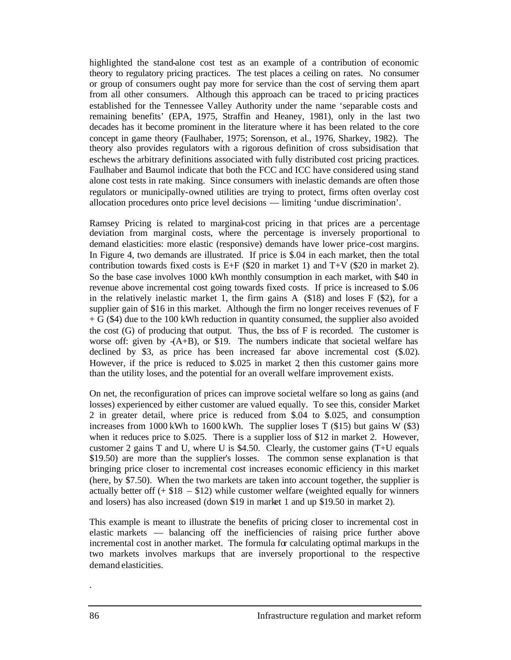highlighted the stand-alone cost test as an example of a contribution of economic theory to regulatory pricing practices. The test places a ceiling on rates. No consumer or group of consumers ought pay more for service than the cost of serving them apart from all other consumers. Although this approach can be traced to pricing practices established for the Tennessee Valley Authority under the name 'separable costs and remaining benefits' (EPA, 1975, Straffin and Heaney, 1981), only in the last two decades has it become prominent in the literature where it has been related to the core concept in game theory (Faulhaber, 1975; Sorenson, et al., 1976, Sharkey, 1982). The theory also provides regulators with a rigorous definition of cross subsidisation that eschews the arbitrary definitions associated with fully distributed cost pricing practices. Faulhaber and Baumol indicate that both the FCC and ICC have considered using stand alone cost tests in rate making. Since consumers with inelastic demands are often those regulators or municipally-owned utilities are trying to protect, firms often overlay cost allocation procedures onto price level decisions — limiting 'undue discrimination'.

Ramsey Pricing is related to marginal-cost pricing in that prices are a percentage deviation from marginal costs, where the percentage is inversely proportional to demand elasticities: more elastic (responsive) demands have lower price-cost margins. In Figure 4, two demands are illustrated. If price is \$.04 in each market, then the total contribution towards fixed costs is E+F  $(\$20$  in market 1) and T+V  $(\$20$  in market 2). So the base case involves 1000 kWh monthly consumption in each market, with \$40 in revenue above incremental cost going towards fixed costs. If price is increased to \$.06 in the relatively inelastic market 1, the firm gains A (\$18) and loses F (\$2), for a supplier gain of \$16 in this market. Although the firm no longer receives revenues of F  $+ G$  (\$4) due to the 100 kWh reduction in quantity consumed, the supplier also avoided the cost  $(G)$  of producing that output. Thus, the bss of F is recorded. The customer is worse off: given by  $-(A+B)$ , or \$19. The numbers indicate that societal welfare has declined by \$3, as price has been increased far above incremental cost (\$.02). However, if the price is reduced to \$.025 in market 2 then this customer gains more than the utility loses, and the potential for an overall welfare improvement exists.

On net, the reconfiguration of prices can improve societal welfare so long as gains (and losses) experienced by either customer are valued equally. To see this, consider Market 2 in greater detail, where price is reduced from \$.04 to \$.025, and consumption increases from 1000 kWh to 1600 kWh. The supplier loses T (\$15) but gains W (\$3) when it reduces price to \$.025. There is a supplier loss of \$12 in market 2. However, customer 2 gains T and U, where U is \$4.50. Clearly, the customer gains (T+U equals \$19.50) are more than the supplier's losses. The common sense explanation is that bringing price closer to incremental cost increases economic efficiency in this market (here, by \$7.50). When the two markets are taken into account together, the supplier is actually better off  $(+ $18 - $12)$  while customer welfare (weighted equally for winners and losers) has also increased (down \$19 in market 1 and up \$19.50 in market 2).

This example is meant to illustrate the benefits of pricing closer to incremental cost in elastic markets — balancing off the inefficiencies of raising price further above incremental cost in another market. The formula for calculating optimal markups in the two markets involves markups that are inversely proportional to the respective demand elasticities.

.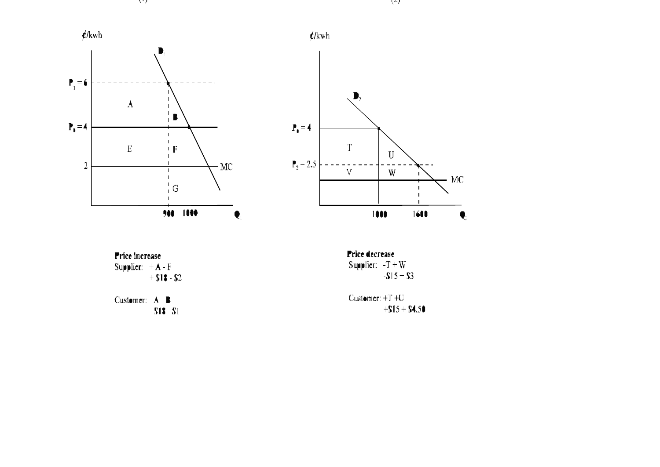



Price increase Supplier:  $+A-F$ <br>+ \$18 - \$2

Customer:  $-A-B$ <br>- \$1\$ - \$1

**Price decrease** Supplier:  $-T = W$ <br>-S15 + S3

Customer:  $+T+U$ <br> $+S15+S4.50$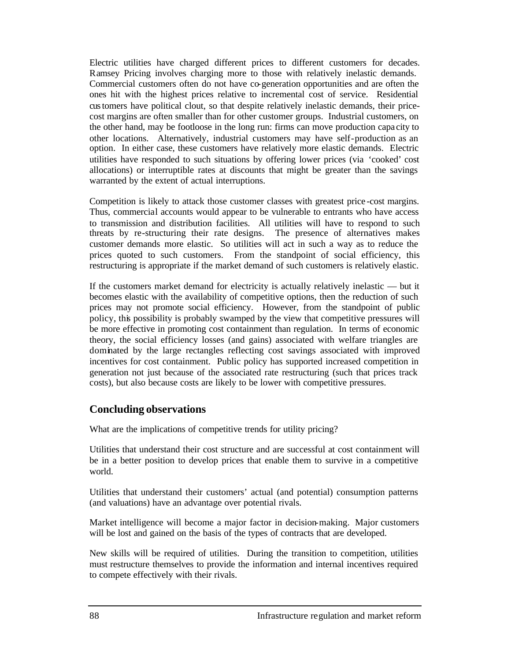Electric utilities have charged different prices to different customers for decades. Ramsey Pricing involves charging more to those with relatively inelastic demands. Commercial customers often do not have co-generation opportunities and are often the ones hit with the highest prices relative to incremental cost of service. Residential customers have political clout, so that despite relatively inelastic demands, their pricecost margins are often smaller than for other customer groups. Industrial customers, on the other hand, may be footloose in the long run: firms can move production capa city to other locations. Alternatively, industrial customers may have self-production as an option. In either case, these customers have relatively more elastic demands. Electric utilities have responded to such situations by offering lower prices (via 'cooked' cost allocations) or interruptible rates at discounts that might be greater than the savings warranted by the extent of actual interruptions.

Competition is likely to attack those customer classes with greatest price -cost margins. Thus, commercial accounts would appear to be vulnerable to entrants who have access to transmission and distribution facilities. All utilities will have to respond to such threats by re-structuring their rate designs. The presence of alternatives makes customer demands more elastic. So utilities will act in such a way as to reduce the prices quoted to such customers. From the standpoint of social efficiency, this restructuring is appropriate if the market demand of such customers is relatively elastic.

If the customers market demand for electricity is actually relatively inelastic — but it becomes elastic with the availability of competitive options, then the reduction of such prices may not promote social efficiency. However, from the standpoint of public policy, this possibility is probably swamped by the view that competitive pressures will be more effective in promoting cost containment than regulation. In terms of economic theory, the social efficiency losses (and gains) associated with welfare triangles are dominated by the large rectangles reflecting cost savings associated with improved incentives for cost containment. Public policy has supported increased competition in generation not just because of the associated rate restructuring (such that prices track costs), but also because costs are likely to be lower with competitive pressures.

#### **Concluding observations**

What are the implications of competitive trends for utility pricing?

Utilities that understand their cost structure and are successful at cost containment will be in a better position to develop prices that enable them to survive in a competitive world.

Utilities that understand their customers' actual (and potential) consumption patterns (and valuations) have an advantage over potential rivals.

Market intelligence will become a major factor in decision-making. Major customers will be lost and gained on the basis of the types of contracts that are developed.

New skills will be required of utilities. During the transition to competition, utilities must restructure themselves to provide the information and internal incentives required to compete effectively with their rivals.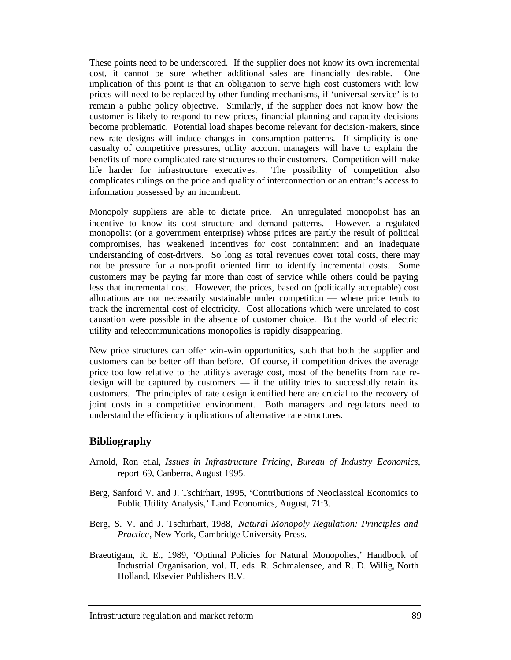These points need to be underscored. If the supplier does not know its own incremental cost, it cannot be sure whether additional sales are financially desirable. One implication of this point is that an obligation to serve high cost customers with low prices will need to be replaced by other funding mechanisms, if 'universal service' is to remain a public policy objective. Similarly, if the supplier does not know how the customer is likely to respond to new prices, financial planning and capacity decisions become problematic. Potential load shapes become relevant for decision-makers, since new rate designs will induce changes in consumption patterns. If simplicity is one casualty of competitive pressures, utility account managers will have to explain the benefits of more complicated rate structures to their customers. Competition will make life harder for infrastructure executives. The possibility of competition also complicates rulings on the price and quality of interconnection or an entrant's access to information possessed by an incumbent.

Monopoly suppliers are able to dictate price. An unregulated monopolist has an incentive to know its cost structure and demand patterns. However, a regulated monopolist (or a government enterprise) whose prices are partly the result of political compromises, has weakened incentives for cost containment and an inadequate understanding of cost-drivers. So long as total revenues cover total costs, there may not be pressure for a non-profit oriented firm to identify incremental costs. Some customers may be paying far more than cost of service while others could be paying less that incremental cost. However, the prices, based on (politically acceptable) cost allocations are not necessarily sustainable under competition — where price tends to track the incremental cost of electricity. Cost allocations which were unrelated to cost causation were possible in the absence of customer choice. But the world of electric utility and telecommunications monopolies is rapidly disappearing.

New price structures can offer win-win opportunities, such that both the supplier and customers can be better off than before. Of course, if competition drives the average price too low relative to the utility's average cost, most of the benefits from rate redesign will be captured by customers  $-$  if the utility tries to successfully retain its customers. The principles of rate design identified here are crucial to the recovery of joint costs in a competitive environment. Both managers and regulators need to understand the efficiency implications of alternative rate structures.

#### **Bibliography**

- Arnold, Ron et.al, *Issues in Infrastructure Pricing, Bureau of Industry Economics*, report 69, Canberra, August 1995.
- Berg, Sanford V. and J. Tschirhart, 1995, 'Contributions of Neoclassical Economics to Public Utility Analysis,' Land Economics, August, 71:3.
- Berg, S. V. and J. Tschirhart, 1988, *Natural Monopoly Regulation: Principles and Practice*, New York, Cambridge University Press.
- Braeutigam, R. E., 1989, 'Optimal Policies for Natural Monopolies,' Handbook of Industrial Organisation, vol. II, eds. R. Schmalensee, and R. D. Willig, North Holland, Elsevier Publishers B.V.